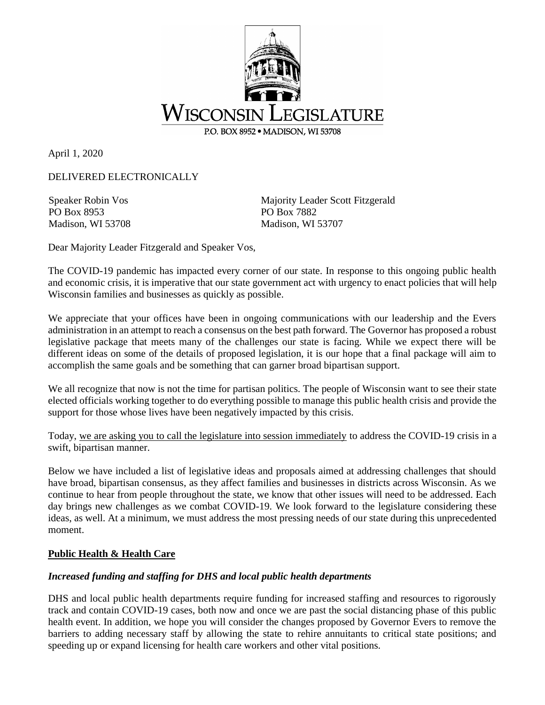

April 1, 2020

DELIVERED ELECTRONICALLY

Speaker Robin Vos PO Box 8953 Madison, WI 53708 Majority Leader Scott Fitzgerald PO Box 7882 Madison, WI 53707

Dear Majority Leader Fitzgerald and Speaker Vos,

The COVID-19 pandemic has impacted every corner of our state. In response to this ongoing public health and economic crisis, it is imperative that our state government act with urgency to enact policies that will help Wisconsin families and businesses as quickly as possible.

We appreciate that your offices have been in ongoing communications with our leadership and the Evers administration in an attempt to reach a consensus on the best path forward. The Governor has proposed a robust legislative package that meets many of the challenges our state is facing. While we expect there will be different ideas on some of the details of proposed legislation, it is our hope that a final package will aim to accomplish the same goals and be something that can garner broad bipartisan support.

We all recognize that now is not the time for partisan politics. The people of Wisconsin want to see their state elected officials working together to do everything possible to manage this public health crisis and provide the support for those whose lives have been negatively impacted by this crisis.

Today, we are asking you to call the legislature into session immediately to address the COVID-19 crisis in a swift, bipartisan manner.

Below we have included a list of legislative ideas and proposals aimed at addressing challenges that should have broad, bipartisan consensus, as they affect families and businesses in districts across Wisconsin. As we continue to hear from people throughout the state, we know that other issues will need to be addressed. Each day brings new challenges as we combat COVID-19. We look forward to the legislature considering these ideas, as well. At a minimum, we must address the most pressing needs of our state during this unprecedented moment.

#### **Public Health & Health Care**

#### *Increased funding and staffing for DHS and local public health departments*

DHS and local public health departments require funding for increased staffing and resources to rigorously track and contain COVID-19 cases, both now and once we are past the social distancing phase of this public health event. In addition, we hope you will consider the changes proposed by Governor Evers to remove the barriers to adding necessary staff by allowing the state to rehire annuitants to critical state positions; and speeding up or expand licensing for health care workers and other vital positions.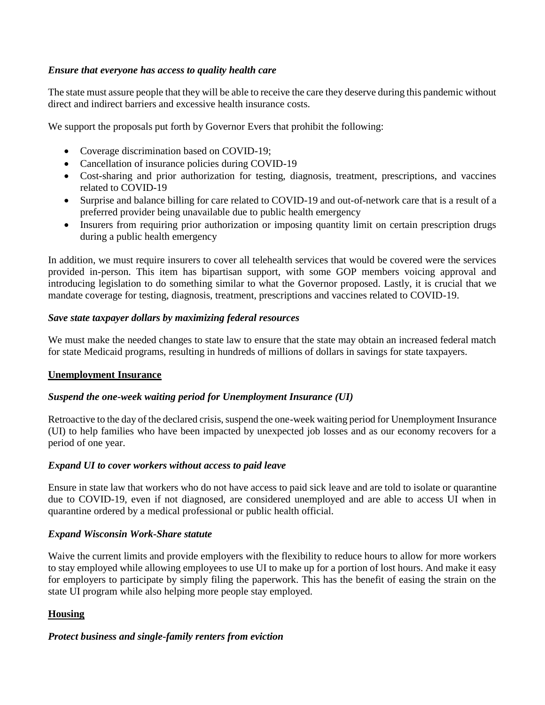### *Ensure that everyone has access to quality health care*

The state must assure people that they will be able to receive the care they deserve during this pandemic without direct and indirect barriers and excessive health insurance costs.

We support the proposals put forth by Governor Evers that prohibit the following:

- Coverage discrimination based on COVID-19;
- Cancellation of insurance policies during COVID-19
- Cost-sharing and prior authorization for testing, diagnosis, treatment, prescriptions, and vaccines related to COVID-19
- Surprise and balance billing for care related to COVID-19 and out-of-network care that is a result of a preferred provider being unavailable due to public health emergency
- Insurers from requiring prior authorization or imposing quantity limit on certain prescription drugs during a public health emergency

In addition, we must require insurers to cover all telehealth services that would be covered were the services provided in-person. This item has bipartisan support, with some GOP members voicing approval and introducing legislation to do something similar to what the Governor proposed. Lastly, it is crucial that we mandate coverage for testing, diagnosis, treatment, prescriptions and vaccines related to COVID-19.

#### *Save state taxpayer dollars by maximizing federal resources*

We must make the needed changes to state law to ensure that the state may obtain an increased federal match for state Medicaid programs, resulting in hundreds of millions of dollars in savings for state taxpayers.

#### **Unemployment Insurance**

#### *Suspend the one-week waiting period for Unemployment Insurance (UI)*

Retroactive to the day of the declared crisis, suspend the one-week waiting period for Unemployment Insurance (UI) to help families who have been impacted by unexpected job losses and as our economy recovers for a period of one year.

#### *Expand UI to cover workers without access to paid leave*

Ensure in state law that workers who do not have access to paid sick leave and are told to isolate or quarantine due to COVID-19, even if not diagnosed, are considered unemployed and are able to access UI when in quarantine ordered by a medical professional or public health official.

#### *Expand Wisconsin Work-Share statute*

Waive the current limits and provide employers with the flexibility to reduce hours to allow for more workers to stay employed while allowing employees to use UI to make up for a portion of lost hours. And make it easy for employers to participate by simply filing the paperwork. This has the benefit of easing the strain on the state UI program while also helping more people stay employed.

#### **Housing**

#### *Protect business and single-family renters from eviction*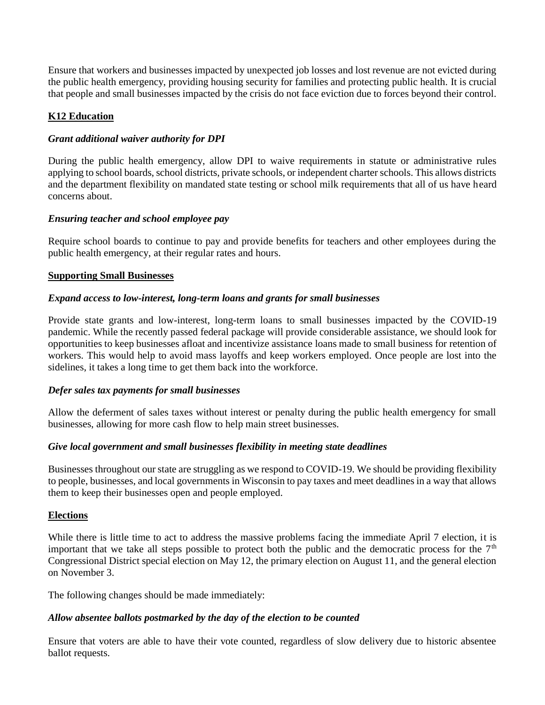Ensure that workers and businesses impacted by unexpected job losses and lost revenue are not evicted during the public health emergency, providing housing security for families and protecting public health. It is crucial that people and small businesses impacted by the crisis do not face eviction due to forces beyond their control.

### **K12 Education**

### *Grant additional waiver authority for DPI*

During the public health emergency, allow DPI to waive requirements in statute or administrative rules applying to school boards, school districts, private schools, or independent charter schools. This allows districts and the department flexibility on mandated state testing or school milk requirements that all of us have heard concerns about.

## *Ensuring teacher and school employee pay*

Require school boards to continue to pay and provide benefits for teachers and other employees during the public health emergency, at their regular rates and hours.

#### **Supporting Small Businesses**

## *Expand access to low-interest, long-term loans and grants for small businesses*

Provide state grants and low-interest, long-term loans to small businesses impacted by the COVID-19 pandemic. While the recently passed federal package will provide considerable assistance, we should look for opportunities to keep businesses afloat and incentivize assistance loans made to small business for retention of workers. This would help to avoid mass layoffs and keep workers employed. Once people are lost into the sidelines, it takes a long time to get them back into the workforce.

#### *Defer sales tax payments for small businesses*

Allow the deferment of sales taxes without interest or penalty during the public health emergency for small businesses, allowing for more cash flow to help main street businesses.

#### *Give local government and small businesses flexibility in meeting state deadlines*

Businesses throughout our state are struggling as we respond to COVID-19. We should be providing flexibility to people, businesses, and local governments in Wisconsin to pay taxes and meet deadlines in a way that allows them to keep their businesses open and people employed.

#### **Elections**

While there is little time to act to address the massive problems facing the immediate April 7 election, it is important that we take all steps possible to protect both the public and the democratic process for the  $7<sup>th</sup>$ Congressional District special election on May 12, the primary election on August 11, and the general election on November 3.

The following changes should be made immediately:

# *Allow absentee ballots postmarked by the day of the election to be counted*

Ensure that voters are able to have their vote counted, regardless of slow delivery due to historic absentee ballot requests.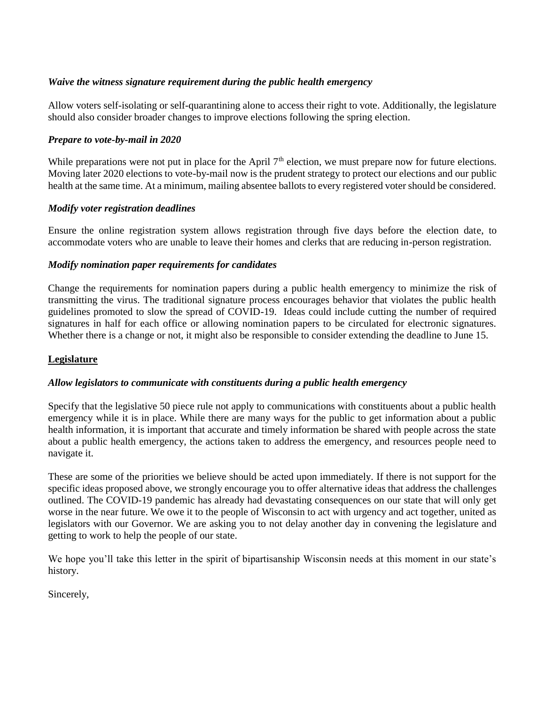### *Waive the witness signature requirement during the public health emergency*

Allow voters self-isolating or self-quarantining alone to access their right to vote. Additionally, the legislature should also consider broader changes to improve elections following the spring election.

### *Prepare to vote-by-mail in 2020*

While preparations were not put in place for the April  $7<sup>th</sup>$  election, we must prepare now for future elections. Moving later 2020 elections to vote-by-mail now is the prudent strategy to protect our elections and our public health at the same time. At a minimum, mailing absentee ballots to every registered voter should be considered.

#### *Modify voter registration deadlines*

Ensure the online registration system allows registration through five days before the election date, to accommodate voters who are unable to leave their homes and clerks that are reducing in-person registration.

#### *Modify nomination paper requirements for candidates*

Change the requirements for nomination papers during a public health emergency to minimize the risk of transmitting the virus. The traditional signature process encourages behavior that violates the public health guidelines promoted to slow the spread of COVID-19. Ideas could include cutting the number of required signatures in half for each office or allowing nomination papers to be circulated for electronic signatures. Whether there is a change or not, it might also be responsible to consider extending the deadline to June 15.

#### **Legislature**

#### *Allow legislators to communicate with constituents during a public health emergency*

Specify that the legislative 50 piece rule not apply to communications with constituents about a public health emergency while it is in place. While there are many ways for the public to get information about a public health information, it is important that accurate and timely information be shared with people across the state about a public health emergency, the actions taken to address the emergency, and resources people need to navigate it.

These are some of the priorities we believe should be acted upon immediately. If there is not support for the specific ideas proposed above, we strongly encourage you to offer alternative ideas that address the challenges outlined. The COVID-19 pandemic has already had devastating consequences on our state that will only get worse in the near future. We owe it to the people of Wisconsin to act with urgency and act together, united as legislators with our Governor. We are asking you to not delay another day in convening the legislature and getting to work to help the people of our state.

We hope you'll take this letter in the spirit of bipartisanship Wisconsin needs at this moment in our state's history.

Sincerely,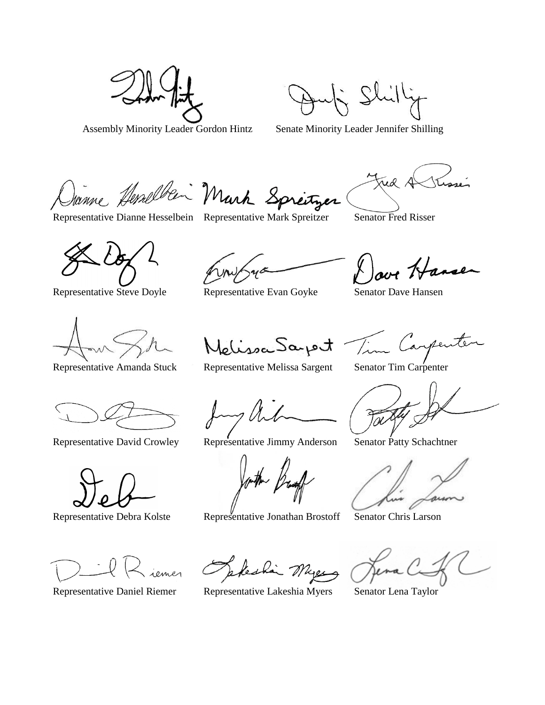Assembly Minority Leader Gordon Hintz Senate Minority Leader Jennifer Shilling

Janne Herselben Mark Springer

Representative Dianne Hesselbein Representative Mark Spreitzer Senator Fred Risser

Representative Steve Doyle Representative Evan Goyke Senator Dave Hansen

Melissa Saport

ove Hanse

Tim Carpenter

iemes

Representative Debra Kolste Representative Jonathan Brostoff Senator Chris Larson

Keskin Myer

Representative Daniel Riemer Representative Lakeshia Myers Senator Lena Taylor

Representative Amanda Stuck Representative Melissa Sargent Senator Tim Carpenter

Fac

Representative David Crowley Representative Jimmy Anderson Senator Patty Schachtner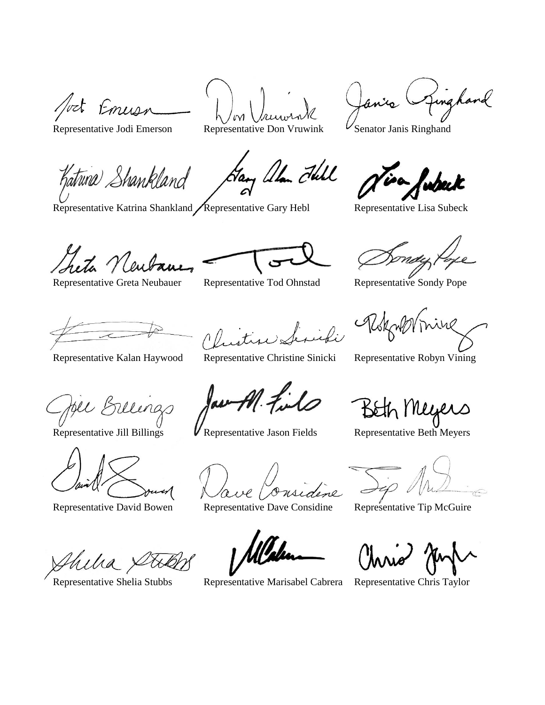fort Emusi

Representative Jodi Emerson Representative Don Vruwink  $V$ Senator Janis Ringhand

 $\mathcal{M}$ 

Hary allan Fell

Jinghard anis l

Katuna Shankland

Representative Katrina Shankland / Representative Gary Hebl Representative Lisa Subeck

isa wpeck

heta Neut

Representative Greta Neubauer Representative Tod Ohnstad Representative Sondy Pope

be Sulings

Sirifi

Representative Kalan Haywood Representative Christine Sinicki Representative Robyn Vining

av

Representative Jill Billings **V** Representative Jason Fields Representative Beth Meyers

Representative David Bowen Representative Dave Considine Representative Tip McGuire

Representative Shelia Stubbs Representative Marisabel Cabrera Representative Chris Taylor

, Meyers